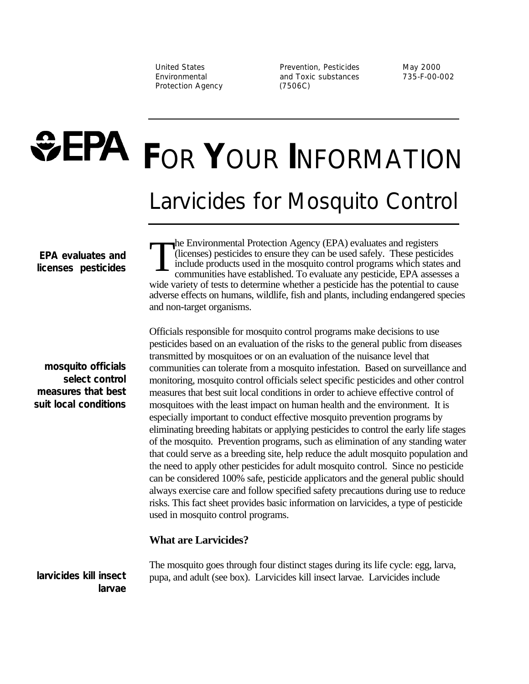Protection Agency (7506C)

United States **Prevention, Pesticides** May 2000 Environmental and Toxic substances 735-F-00-002

# **FEPA FOR YOUR INFORMATION** Larvicides for Mosquito Control

 **EPA evaluates and licenses pesticides**

**mosquito officials select control measures that best suit local conditions**

T he Environmental Protection Agency (EPA) evaluates and registers (licenses) pesticides to ensure they can be used safely. These pesticides include products used in the mosquito control programs which states and communities have established. To evaluate any pesticide, EPA assesses a wide variety of tests to determine whether a pesticide has the potential to cause adverse effects on humans, wildlife, fish and plants, including endangered species and non-target organisms.

Officials responsible for mosquito control programs make decisions to use pesticides based on an evaluation of the risks to the general public from diseases transmitted by mosquitoes or on an evaluation of the nuisance level that communities can tolerate from a mosquito infestation. Based on surveillance and monitoring, mosquito control officials select specific pesticides and other control measures that best suit local conditions in order to achieve effective control of mosquitoes with the least impact on human health and the environment. It is especially important to conduct effective mosquito prevention programs by eliminating breeding habitats or applying pesticides to control the early life stages of the mosquito. Prevention programs, such as elimination of any standing water that could serve as a breeding site, help reduce the adult mosquito population and the need to apply other pesticides for adult mosquito control. Since no pesticide can be considered 100% safe, pesticide applicators and the general public should always exercise care and follow specified safety precautions during use to reduce risks. This fact sheet provides basic information on larvicides, a type of pesticide used in mosquito control programs.

## **What are Larvicides?**

The mosquito goes through four distinct stages during its life cycle: egg, larva, pupa, and adult (see box). Larvicides kill insect larvae. Larvicides include

**larvicides kill insect larvae**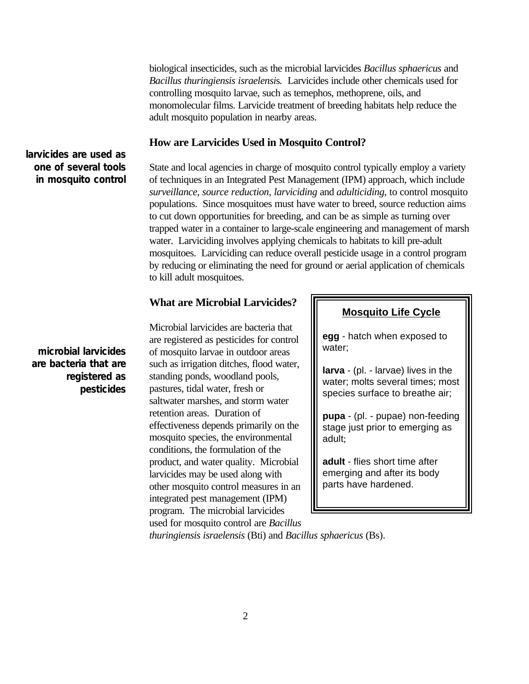biological insecticides, such as the microbial larvicides *Bacillus sphaericus* and *Bacillus thuringiensis israelensi*s*.* Larvicides include other chemicals used for controlling mosquito larvae, such as temephos, methoprene, oils, and monomolecular films. Larvicide treatment of breeding habitats help reduce the adult mosquito population in nearby areas.

## **How are Larvicides Used in Mosquito Control?**

State and local agencies in charge of mosquito control typically employ a variety of techniques in an Integrated Pest Management (IPM) approach, which include *surveillance, source reduction*, *larviciding* and *adulticiding*, to control mosquito populations. Since mosquitoes must have water to breed, source reduction aims to cut down opportunities for breeding, and can be as simple as turning over trapped water in a container to large-scale engineering and management of marsh water. Larviciding involves applying chemicals to habitats to kill pre-adult mosquitoes. Larviciding can reduce overall pesticide usage in a control program by reducing or eliminating the need for ground or aerial application of chemicals to kill adult mosquitoes.

## **What are Microbial Larvicides?**

Microbial larvicides are bacteria that are registered as pesticides for control of mosquito larvae in outdoor areas such as irrigation ditches, flood water, standing ponds, woodland pools, pastures, tidal water, fresh or saltwater marshes, and storm water retention areas. Duration of effectiveness depends primarily on the mosquito species, the environmental conditions, the formulation of the product, and water quality. Microbial larvicides may be used along with other mosquito control measures in an integrated pest management (IPM) program. The microbial larvicides used for mosquito control are *Bacillus*

#### **Mosquito Life Cycle**

**egg** - hatch when exposed to water;

**larva** - (pl. - larvae) lives in the water; molts several times; most species surface to breathe air;

**pupa** - (pl. - pupae) non-feeding stage just prior to emerging as adult;

**adult** - flies short time after emerging and after its body parts have hardened.

*thuringiensis israelensis* (Bti) and *Bacillus sphaericus* (Bs).

# **larvicides are used as one of several tools in mosquito control**

**microbial larvicides are bacteria that are registered as pesticides**